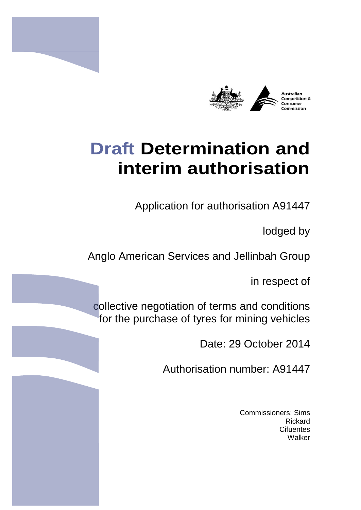

# **Draft Determination and interim authorisation**

Application for authorisation A91447

lodged by

Anglo American Services and Jellinbah Group

in respect of

collective negotiation of terms and conditions for the purchase of tyres for mining vehicles

Date: 29 October 2014

Authorisation number: A91447

Commissioners: Sims Rickard **Cifuentes Walker**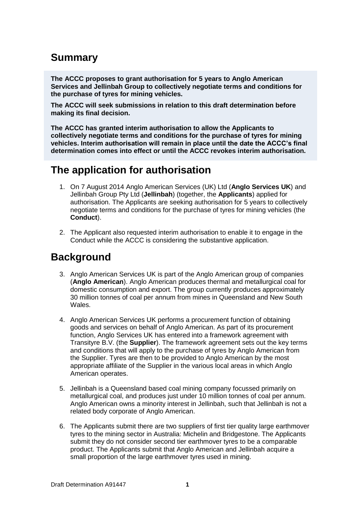## **Summary**

**The ACCC proposes to grant authorisation for 5 years to Anglo American Services and Jellinbah Group to collectively negotiate terms and conditions for the purchase of tyres for mining vehicles.**

**The ACCC will seek submissions in relation to this draft determination before making its final decision.** 

**The ACCC has granted interim authorisation to allow the Applicants to collectively negotiate terms and conditions for the purchase of tyres for mining vehicles. Interim authorisation will remain in place until the date the ACCC's final determination comes into effect or until the ACCC revokes interim authorisation.**

# **The application for authorisation**

- 1. On 7 August 2014 Anglo American Services (UK) Ltd (**Anglo Services UK**) and Jellinbah Group Pty Ltd (**Jellinbah**) (together, the **Applicants**) applied for authorisation. The Applicants are seeking authorisation for 5 years to collectively negotiate terms and conditions for the purchase of tyres for mining vehicles (the **Conduct**).
- 2. The Applicant also requested interim authorisation to enable it to engage in the Conduct while the ACCC is considering the substantive application.

# **Background**

- 3. Anglo American Services UK is part of the Anglo American group of companies (**Anglo American**). Anglo American produces thermal and metallurgical coal for domestic consumption and export. The group currently produces approximately 30 million tonnes of coal per annum from mines in Queensland and New South Wales.
- 4. Anglo American Services UK performs a procurement function of obtaining goods and services on behalf of Anglo American. As part of its procurement function, Anglo Services UK has entered into a framework agreement with Transityre B.V. (the **Supplier**). The framework agreement sets out the key terms and conditions that will apply to the purchase of tyres by Anglo American from the Supplier. Tyres are then to be provided to Anglo American by the most appropriate affiliate of the Supplier in the various local areas in which Anglo American operates.
- 5. Jellinbah is a Queensland based coal mining company focussed primarily on metallurgical coal, and produces just under 10 million tonnes of coal per annum. Anglo American owns a minority interest in Jellinbah, such that Jellinbah is not a related body corporate of Anglo American.
- 6. The Applicants submit there are two suppliers of first tier quality large earthmover tyres to the mining sector in Australia: Michelin and Bridgestone. The Applicants submit they do not consider second tier earthmover tyres to be a comparable product. The Applicants submit that Anglo American and Jellinbah acquire a small proportion of the large earthmover tyres used in mining.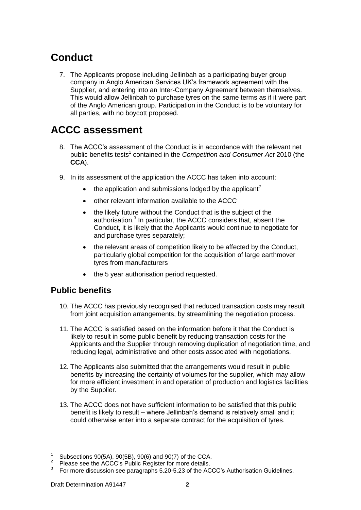# **Conduct**

7. The Applicants propose including Jellinbah as a participating buyer group company in Anglo American Services UK's framework agreement with the Supplier, and entering into an Inter-Company Agreement between themselves. This would allow Jellinbah to purchase tyres on the same terms as if it were part of the Anglo American group. Participation in the Conduct is to be voluntary for all parties, with no boycott proposed.

# **ACCC assessment**

- 8. The ACCC's assessment of the Conduct is in accordance with the relevant net public benefits tests<sup>1</sup> contained in the *Competition and Consumer Act* 2010 (the **CCA**).
- 9. In its assessment of the application the ACCC has taken into account:
	- the application and submissions lodged by the applicant<sup>2</sup>
	- other relevant information available to the ACCC
	- the likely future without the Conduct that is the subject of the authorisation.<sup>3</sup> In particular, the ACCC considers that, absent the Conduct, it is likely that the Applicants would continue to negotiate for and purchase tyres separately;
	- the relevant areas of competition likely to be affected by the Conduct, particularly global competition for the acquisition of large earthmover tyres from manufacturers
	- the 5 year authorisation period requested.

## **Public benefits**

- 10. The ACCC has previously recognised that reduced transaction costs may result from joint acquisition arrangements, by streamlining the negotiation process.
- 11. The ACCC is satisfied based on the information before it that the Conduct is likely to result in some public benefit by reducing transaction costs for the Applicants and the Supplier through removing duplication of negotiation time, and reducing legal, administrative and other costs associated with negotiations.
- 12. The Applicants also submitted that the arrangements would result in public benefits by increasing the certainty of volumes for the supplier, which may allow for more efficient investment in and operation of production and logistics facilities by the Supplier.
- 13. The ACCC does not have sufficient information to be satisfied that this public benefit is likely to result – where Jellinbah's demand is relatively small and it could otherwise enter into a separate contract for the acquisition of tyres.

<sup>1</sup> 1 Subsections 90(5A), 90(5B), 90(6) and 90(7) of the CCA.

<sup>2</sup> Please see the ACCC's Public Register for more details.

<sup>3</sup> For more discussion see paragraphs 5.20-5.23 of the ACCC's Authorisation Guidelines.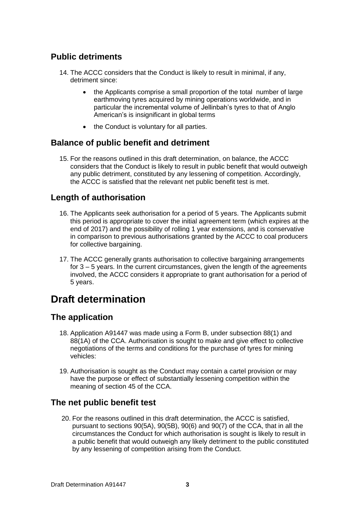## **Public detriments**

- 14. The ACCC considers that the Conduct is likely to result in minimal, if any, detriment since:
	- the Applicants comprise a small proportion of the total number of large earthmoving tyres acquired by mining operations worldwide, and in particular the incremental volume of Jellinbah's tyres to that of Anglo American's is insignificant in global terms
	- the Conduct is voluntary for all parties.

#### **Balance of public benefit and detriment**

15. For the reasons outlined in this draft determination, on balance, the ACCC considers that the Conduct is likely to result in public benefit that would outweigh any public detriment, constituted by any lessening of competition. Accordingly, the ACCC is satisfied that the relevant net public benefit test is met.

### **Length of authorisation**

- 16. The Applicants seek authorisation for a period of 5 years. The Applicants submit this period is appropriate to cover the initial agreement term (which expires at the end of 2017) and the possibility of rolling 1 year extensions, and is conservative in comparison to previous authorisations granted by the ACCC to coal producers for collective bargaining.
- 17. The ACCC generally grants authorisation to collective bargaining arrangements for 3 – 5 years. In the current circumstances, given the length of the agreements involved, the ACCC considers it appropriate to grant authorisation for a period of 5 years.

## **Draft determination**

#### **The application**

- 18. Application A91447 was made using a Form B, under subsection 88(1) and 88(1A) of the CCA. Authorisation is sought to make and give effect to collective negotiations of the terms and conditions for the purchase of tyres for mining vehicles:
- 19. Authorisation is sought as the Conduct may contain a cartel provision or may have the purpose or effect of substantially lessening competition within the meaning of section 45 of the CCA.

#### **The net public benefit test**

20. For the reasons outlined in this draft determination, the ACCC is satisfied, pursuant to sections 90(5A), 90(5B), 90(6) and 90(7) of the CCA, that in all the circumstances the Conduct for which authorisation is sought is likely to result in a public benefit that would outweigh any likely detriment to the public constituted by any lessening of competition arising from the Conduct.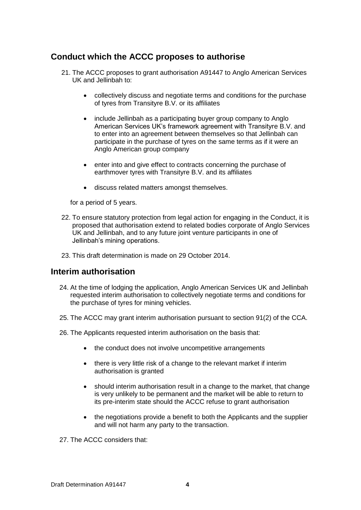## **Conduct which the ACCC proposes to authorise**

- 21. The ACCC proposes to grant authorisation A91447 to Anglo American Services UK and Jellinbah to:
	- collectively discuss and negotiate terms and conditions for the purchase of tyres from Transityre B.V. or its affiliates
	- include Jellinbah as a participating buyer group company to Anglo American Services UK's framework agreement with Transityre B.V. and to enter into an agreement between themselves so that Jellinbah can participate in the purchase of tyres on the same terms as if it were an Anglo American group company
	- enter into and give effect to contracts concerning the purchase of earthmover tyres with Transityre B.V. and its affiliates
	- discuss related matters amongst themselves.

for a period of 5 years.

- 22. To ensure statutory protection from legal action for engaging in the Conduct, it is proposed that authorisation extend to related bodies corporate of Anglo Services UK and Jellinbah, and to any future joint venture participants in one of Jellinbah's mining operations.
- 23. This draft determination is made on 29 October 2014.

#### **Interim authorisation**

- 24. At the time of lodging the application, Anglo American Services UK and Jellinbah requested interim authorisation to collectively negotiate terms and conditions for the purchase of tyres for mining vehicles.
- 25. The ACCC may grant interim authorisation pursuant to section 91(2) of the CCA.
- 26. The Applicants requested interim authorisation on the basis that:
	- the conduct does not involve uncompetitive arrangements
	- there is very little risk of a change to the relevant market if interim authorisation is granted
	- should interim authorisation result in a change to the market, that change is very unlikely to be permanent and the market will be able to return to its pre-interim state should the ACCC refuse to grant authorisation
	- the negotiations provide a benefit to both the Applicants and the supplier and will not harm any party to the transaction.

27. The ACCC considers that: